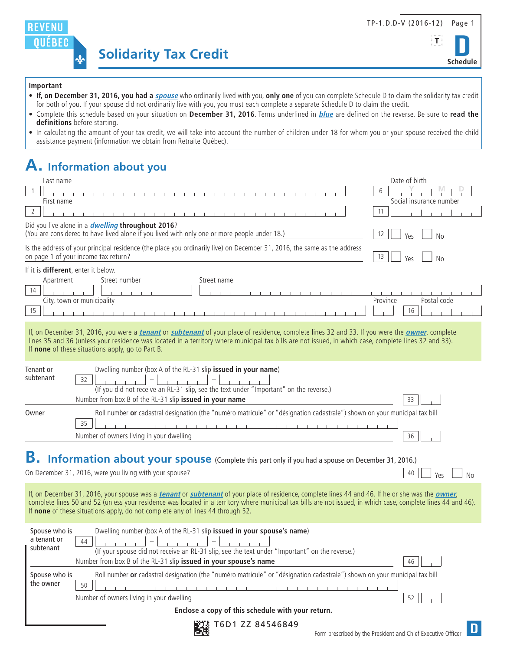





#### **Important**

- **If, on December 31, 2016, you had a spouse** who ordinarily lived with you, **only one** of you can complete Schedule D to claim the solidarity tax credit for both of you. If your spouse did not ordinarily live with you, you must each complete a separate Schedule D to claim the credit.
- Complete this schedule based on your situation on **December 31, 2016**. Terms underlined in **blue** are defined on the reverse. Be sure to **read the definitions** before starting.
- In calculating the amount of your tax credit, we will take into account the number of children under 18 for whom you or your spouse received the child assistance payment (information we obtain from Retraite Québec).

# **A. Information about you**

| Last name                                                                                                                                                                                                                                                                                                                                                                         |                                                                                                                                                                                                                                                                                                                                                                                                                             | Date of birth           |  |
|-----------------------------------------------------------------------------------------------------------------------------------------------------------------------------------------------------------------------------------------------------------------------------------------------------------------------------------------------------------------------------------|-----------------------------------------------------------------------------------------------------------------------------------------------------------------------------------------------------------------------------------------------------------------------------------------------------------------------------------------------------------------------------------------------------------------------------|-------------------------|--|
|                                                                                                                                                                                                                                                                                                                                                                                   |                                                                                                                                                                                                                                                                                                                                                                                                                             | 6                       |  |
| First name                                                                                                                                                                                                                                                                                                                                                                        |                                                                                                                                                                                                                                                                                                                                                                                                                             | Social insurance number |  |
| 2                                                                                                                                                                                                                                                                                                                                                                                 |                                                                                                                                                                                                                                                                                                                                                                                                                             | 11                      |  |
|                                                                                                                                                                                                                                                                                                                                                                                   | Did you live alone in a <i>dwelling</i> throughout 2016?<br>(You are considered to have lived alone if you lived with only one or more people under 18.)                                                                                                                                                                                                                                                                    | 12<br><b>No</b><br>Yes  |  |
|                                                                                                                                                                                                                                                                                                                                                                                   | Is the address of your principal residence (the place you ordinarily live) on December 31, 2016, the same as the address<br>on page 1 of your income tax return?                                                                                                                                                                                                                                                            | 13<br>Yes<br>No         |  |
| If it is <b>different</b> , enter it below.                                                                                                                                                                                                                                                                                                                                       |                                                                                                                                                                                                                                                                                                                                                                                                                             |                         |  |
| Apartment                                                                                                                                                                                                                                                                                                                                                                         | Street number<br>Street name                                                                                                                                                                                                                                                                                                                                                                                                |                         |  |
| 14                                                                                                                                                                                                                                                                                                                                                                                | City, town or municipality<br>Province<br>Postal code                                                                                                                                                                                                                                                                                                                                                                       |                         |  |
| 15                                                                                                                                                                                                                                                                                                                                                                                |                                                                                                                                                                                                                                                                                                                                                                                                                             | 16                      |  |
| If, on December 31, 2016, you were a <i>tenant</i> or <i>subtenant</i> of your place of residence, complete lines 32 and 33. If you were the <i>owner</i> , complete<br>lines 35 and 36 (unless your residence was located in a territory where municipal tax bills are not issued, in which case, complete lines 32 and 33).<br>If none of these situations apply, go to Part B. |                                                                                                                                                                                                                                                                                                                                                                                                                             |                         |  |
| Tenant or                                                                                                                                                                                                                                                                                                                                                                         | Dwelling number (box A of the RL-31 slip issued in your name)                                                                                                                                                                                                                                                                                                                                                               |                         |  |
| subtenant                                                                                                                                                                                                                                                                                                                                                                         | 32                                                                                                                                                                                                                                                                                                                                                                                                                          |                         |  |
|                                                                                                                                                                                                                                                                                                                                                                                   | (If you did not receive an RL-31 slip, see the text under "Important" on the reverse.)                                                                                                                                                                                                                                                                                                                                      |                         |  |
|                                                                                                                                                                                                                                                                                                                                                                                   | Number from box B of the RL-31 slip issued in your name                                                                                                                                                                                                                                                                                                                                                                     | 33                      |  |
| Roll number or cadastral designation (the "numéro matricule" or "désignation cadastrale") shown on your municipal tax bill<br>Owner                                                                                                                                                                                                                                               |                                                                                                                                                                                                                                                                                                                                                                                                                             |                         |  |
|                                                                                                                                                                                                                                                                                                                                                                                   | 35<br>.                                                                                                                                                                                                                                                                                                                                                                                                                     |                         |  |
|                                                                                                                                                                                                                                                                                                                                                                                   | Number of owners living in your dwelling                                                                                                                                                                                                                                                                                                                                                                                    | 36                      |  |
| В.<br><b>Information about your spouse</b> (Complete this part only if you had a spouse on December 31, 2016.)<br>On December 31, 2016, were you living with your spouse?<br>40<br>Yρς<br>No                                                                                                                                                                                      |                                                                                                                                                                                                                                                                                                                                                                                                                             |                         |  |
|                                                                                                                                                                                                                                                                                                                                                                                   | If, on December 31, 2016, your spouse was a <i>tenant</i> or <i>subtenant</i> of your place of residence, complete lines 44 and 46. If he or she was the <i>owner</i> ,<br>complete lines 50 and 52 (unless your residence was located in a territory where municipal tax bills are not issued, in which case, complete lines 44 and 46).<br>If none of these situations apply, do not complete any of lines 44 through 52. |                         |  |
| Spouse who is<br>Dwelling number (box A of the RL-31 slip issued in your spouse's name)                                                                                                                                                                                                                                                                                           |                                                                                                                                                                                                                                                                                                                                                                                                                             |                         |  |
| a tenant or<br>subtenant                                                                                                                                                                                                                                                                                                                                                          | 44                                                                                                                                                                                                                                                                                                                                                                                                                          |                         |  |
| (If your spouse did not receive an RL-31 slip, see the text under "Important" on the reverse.)                                                                                                                                                                                                                                                                                    |                                                                                                                                                                                                                                                                                                                                                                                                                             |                         |  |
| Number from box B of the RL-31 slip issued in your spouse's name<br>46                                                                                                                                                                                                                                                                                                            |                                                                                                                                                                                                                                                                                                                                                                                                                             |                         |  |
| Spouse who is<br>the owner                                                                                                                                                                                                                                                                                                                                                        | Roll number or cadastral designation (the "numéro matricule" or "désignation cadastrale") shown on your municipal tax bill<br>50                                                                                                                                                                                                                                                                                            |                         |  |
|                                                                                                                                                                                                                                                                                                                                                                                   | Number of owners living in your dwelling                                                                                                                                                                                                                                                                                                                                                                                    |                         |  |
|                                                                                                                                                                                                                                                                                                                                                                                   |                                                                                                                                                                                                                                                                                                                                                                                                                             | 52                      |  |
| Enclose a copy of this schedule with your return.                                                                                                                                                                                                                                                                                                                                 |                                                                                                                                                                                                                                                                                                                                                                                                                             |                         |  |

T6D1 ZZ 84546849

D